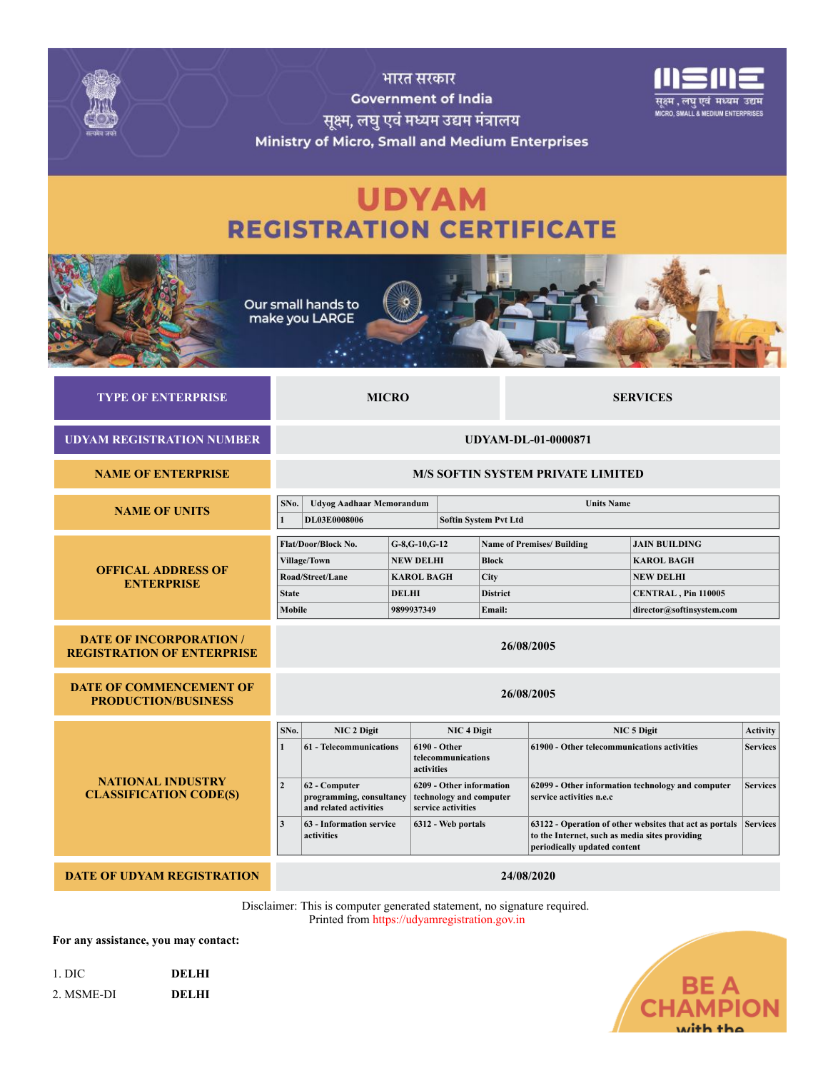

Disclaimer: This is computer generated statement, no signature required. Printed from https://udyamregistration.gov.in

**For any assistance, you may contact:**

| 1. DIC     | DEL HI |
|------------|--------|
| 2. MSME-DI | DELHI  |